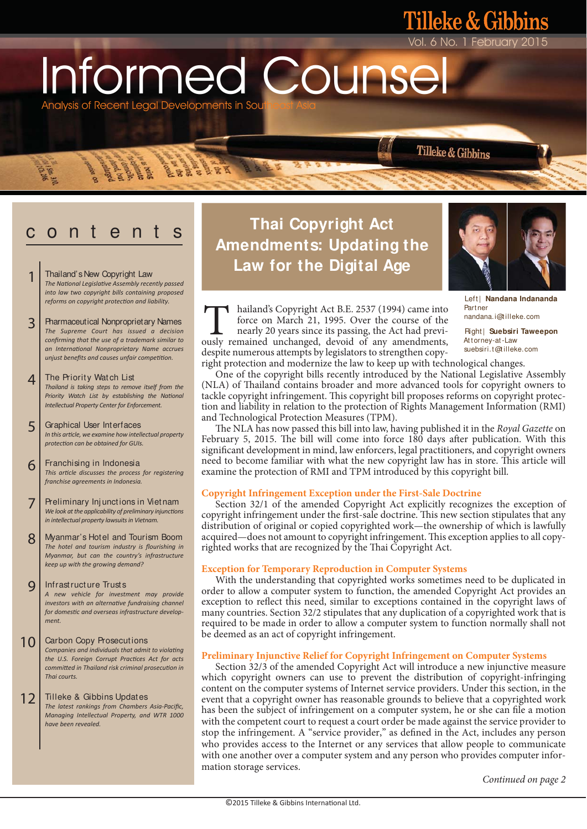Informed Counse Analysis of Recent Legal Developments in Sou

 $\frac{1}{2}$   $\frac{1}{2}$   $\frac{1}{2}$ 

# o n t e

- Thailand's New Copyright Law *The NaƟonal LegislaƟve Assembly recently passed into law two copyright bills containing proposed reforms on copyright protecƟon and liability.*  1
- Pharmaceutical Nonproprietary Names *The Supreme Court has issued a decision confirming that the use of a trademark similar to an InternaƟonal Nonproprietary Name accrues unjust benefits and causes unfair competition.* 3
- The Priority Watch List *Thailand is taking steps to remove itself from the Priority Watch List by establishing the National Intellectual Property Center for Enforcement.* 4
- Graphical User Interfaces *In this arƟcle, we examine how intellectual property protecƟon can be obtained for GUIs.* 5
- Franchising in Indonesia *This arƟcle discusses the process for registering franchise agreements in Indonesia.* 6
- Preliminary Inj unctions in Vietnam *We look at the applicability of preliminary injunctions in intellectual property lawsuits in Vietnam.* 7
- Myanmar's Hotel and Tourism Boom *The hotel and tourism industry is flourishing in Myanmar, but can the country's infrastructure keep up with the growing demand?* 8
- Infrastructure Trusts *A new vehicle for investment may provide investors with an alternative fundraising channel for domesƟc and overseas infrastructure development.*  9
- Carbon Copy Prosecutions *Companies and individuals that admit to violaƟng the U.S. Foreign Corrupt PracƟces Act for acts commiƩed in Thailand risk criminal prosecuƟon in Thai courts.*  10
- Tilleke & Gibbins Updates *The latest rankings from Chambers Asia-Pacific, Managing Intellectual Property, and WTR 1000 have been revealed.* 12

## **Thai Copyright Act Amendments: Updating the Law for the Digital Age**



6 No. 1 February

Tilleke & Gibbins

leke & Gibbins

 Left| **Nandana Indananda** Partner nandana.i@tilleke.com

 Right| **Suebsiri Taweepon**  Attorney-at-Law suebsiri.t@tilleke.com

force on March 21, 1995. Over the course of the nearly 20 years since its passing, the Act had previhailand's Copyright Act B.E. 2537 (1994) came into force on March 21, 1995. Over the course of the nearly 20 years since its passing, the Act had previously remained unchanged, devoid of any amendments, despite numerous attempts by legislators to strengthen copy-

hailand's Copyright Act B.E. 2537 (1994) came into

right protection and modernize the law to keep up with technological changes.

 One of the copyright bills recently introduced by the National Legislative Assembly (NLA) of Thailand contains broader and more advanced tools for copyright owners to tackle copyright infringement. This copyright bill proposes reforms on copyright protection and liability in relation to the protection of Rights Management Information (RMI) and Technological Protection Measures (TPM).

The NLA has now passed this bill into law, having published it in the Royal Gazette on February 5, 2015. The bill will come into force 180 days after publication. With this significant development in mind, law enforcers, legal practitioners, and copyright owners need to become familiar with what the new copyright law has in store. This article will examine the protection of RMI and TPM introduced by this copyright bill.

### **Copyright Infringement Exception under the First-Sale Doctrine**

 Section 32/1 of the amended Copyright Act explicitly recognizes the exception of copyright infringement under the first-sale doctrine. This new section stipulates that any distribution of original or copied copyrighted work—the ownership of which is lawfully acquired—does not amount to copyright infringement. This exception applies to all copyrighted works that are recognized by the Thai Copyright Act.

## **Exception for Temporary Reproduction in Computer Systems**

 With the understanding that copyrighted works sometimes need to be duplicated in order to allow a computer system to function, the amended Copyright Act provides an exception to reflect this need, similar to exceptions contained in the copyright laws of many countries. Section 32/2 stipulates that any duplication of a copyrighted work that is required to be made in order to allow a computer system to function normally shall not be deemed as an act of copyright infringement.

## **Preliminary Injunctive Relief for Copyright Infringement on Computer Systems**

 Section 32/3 of the amended Copyright Act will introduce a new injunctive measure which copyright owners can use to prevent the distribution of copyright-infringing content on the computer systems of Internet service providers. Under this section, in the event that a copyright owner has reasonable grounds to believe that a copyrighted work has been the subject of infringement on a computer system, he or she can file a motion with the competent court to request a court order be made against the service provider to stop the infringement. A "service provider," as defined in the Act, includes any person who provides access to the Internet or any services that allow people to communicate with one another over a computer system and any person who provides computer information storage services.